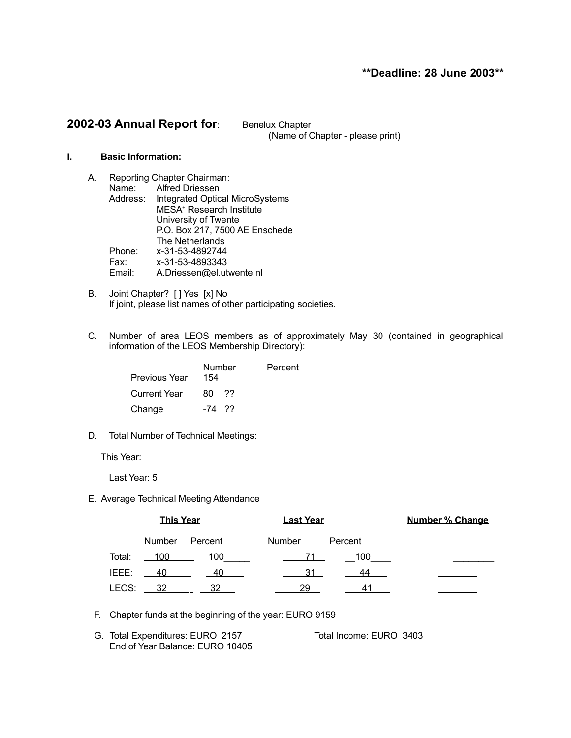# **\*\*Deadline: 28 June 2003\*\***

# 2002-03 Annual Report for: Benelux Chapter (Name of Chapter - please print)

**I. Basic Information:**

- A. Reporting Chapter Chairman: Name: Alfred Driessen Address: Integrated Optical MicroSystems MESA <sup>+</sup> Research Institute University of Twente P.O. Box 217, 7500 AE Enschede The Netherlands Phone: x-31-53-4892744 Fax: x-31-53-4893343 Email: A.Driessen@el.utwente.nl
- B. Joint Chapter? [ ] Yes [x] No If joint, please list names of other participating societies.
- C. Number of area LEOS members as of approximately May 30 (contained in geographical information of the LEOS Membership Directory):

| <b>Previous Year</b> | Number<br>154 |      | Percent |
|----------------------|---------------|------|---------|
| <b>Current Year</b>  | 80            | - 77 |         |
| Change               | -74 ??        |      |         |

D. Total Number of Technical Meetings:

This Year:

Last Year: 5

E. Average Technical Meeting Attendance

|        | <b>This Year</b> |         | <b>Last Year</b> |                | <b>Number % Change</b> |
|--------|------------------|---------|------------------|----------------|------------------------|
|        | <b>Number</b>    | Percent | <b>Number</b>    | <b>Percent</b> |                        |
| Total: | 100              | 100     |                  | 100            |                        |
| IEEE:  | 40               | 40      | 31               | 44             |                        |
| LEOS:  | 32               | 32      | 29               | 41             |                        |

- F. Chapter funds at the beginning of the year: EURO 9159
- G. Total Expenditures: EURO 2157 Total Income: EURO 3403 End of Year Balance: EURO 10405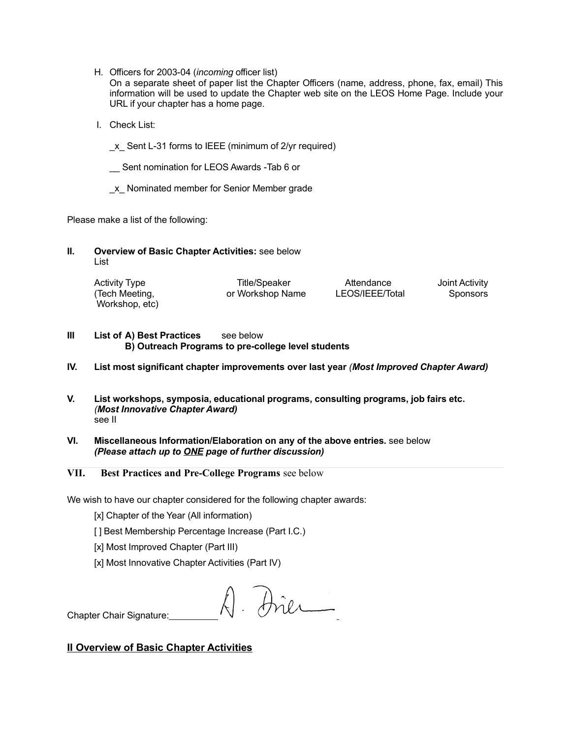- H. Officers for 2003-04 (*incoming* officer list)
	- On a separate sheet of paper list the Chapter Officers (name, address, phone, fax, email) This information will be used to update the Chapter web site on the LEOS Home Page. Include your URL if your chapter has a home page.
- I. Check List:
	- \_x\_ Sent L-31 forms to IEEE (minimum of 2/yr required)
	- Sent nomination for LEOS Awards -Tab 6 or
	- \_x\_ Nominated member for Senior Member grade

Please make a list of the following:

**II. Overview of Basic Chapter Activities:** see below List

| <b>Activity Type</b> | Title/Speaker    | Attendance      | Joint Activity |
|----------------------|------------------|-----------------|----------------|
| (Tech Meeting,       | or Workshop Name | LEOS/IEEE/Total | Sponsors       |
| Workshop, etc)       |                  |                 |                |

- **III List of A) Best Practices** see below **B) Outreach Programs to pre-college level students**
- **IV. List most significant chapter improvements over last year** *(Most Improved Chapter Award)*
- **V. List workshops, symposia, educational programs, consulting programs, job fairs etc.** *(Most Innovative Chapter Award)* see II
- **VI. Miscellaneous Information/Elaboration on any of the above entries.** see below *(Please attach up to ONE page of further discussion)*
- **VII. Best Practices and Pre-College Programs** see below

We wish to have our chapter considered for the following chapter awards:

- [x] Chapter of the Year (All information)
- [ ] Best Membership Percentage Increase (Part I.C.)
- [x] Most Improved Chapter (Part III)
- [x] Most Innovative Chapter Activities (Part IV)

A. Dier

Chapter Chair Signature:

# **II Overview of Basic Chapter Activities**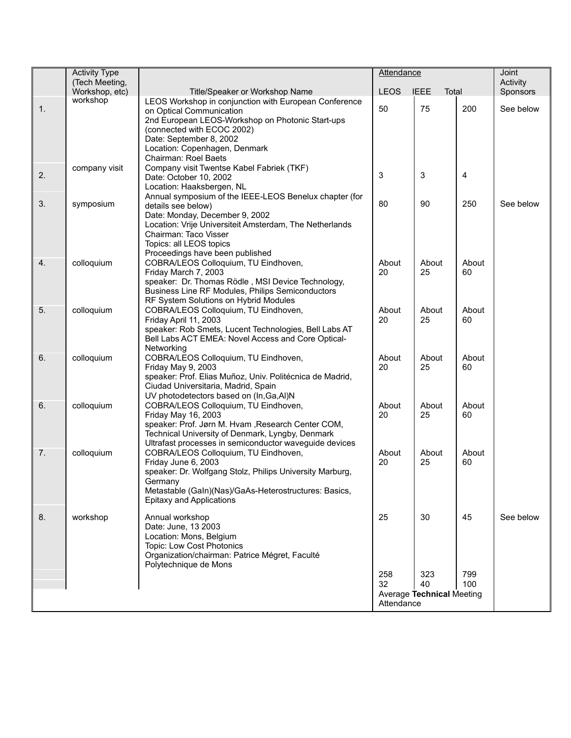|    | <b>Activity Type</b><br>(Tech Meeting, |                                                                                                                                                                                                                                                                  | <b>Attendance</b>       |                                        | Joint<br>Activity |           |
|----|----------------------------------------|------------------------------------------------------------------------------------------------------------------------------------------------------------------------------------------------------------------------------------------------------------------|-------------------------|----------------------------------------|-------------------|-----------|
|    | Workshop, etc)                         | Title/Speaker or Workshop Name                                                                                                                                                                                                                                   | <b>LEOS</b>             | <b>IEEE</b><br>Total                   |                   | Sponsors  |
| 1. | workshop                               | LEOS Workshop in conjunction with European Conference<br>on Optical Communication<br>2nd European LEOS-Workshop on Photonic Start-ups<br>(connected with ECOC 2002)<br>Date: September 8, 2002<br>Location: Copenhagen, Denmark<br>Chairman: Roel Baets          | 50                      | 75                                     | 200               | See below |
| 2. | company visit                          | Company visit Twentse Kabel Fabriek (TKF)<br>Date: October 10, 2002<br>Location: Haaksbergen, NL                                                                                                                                                                 | 3                       | 3                                      | 4                 |           |
| 3. | symposium                              | Annual symposium of the IEEE-LEOS Benelux chapter (for<br>details see below)<br>Date: Monday, December 9, 2002<br>Location: Vrije Universiteit Amsterdam, The Netherlands<br>Chairman: Taco Visser<br>Topics: all LEOS topics<br>Proceedings have been published | 80                      | 90                                     | 250               | See below |
| 4. | colloquium                             | COBRA/LEOS Colloquium, TU Eindhoven,<br>Friday March 7, 2003<br>speaker: Dr. Thomas Rödle, MSI Device Technology,<br>Business Line RF Modules, Philips Semiconductors<br>RF System Solutions on Hybrid Modules                                                   | About<br>20             | About<br>25                            | About<br>60       |           |
| 5. | colloquium                             | COBRA/LEOS Colloquium, TU Eindhoven,<br>Friday April 11, 2003<br>speaker: Rob Smets, Lucent Technologies, Bell Labs AT<br>Bell Labs ACT EMEA: Novel Access and Core Optical-<br>Networking                                                                       | About<br>20             | About<br>25                            | About<br>60       |           |
| 6. | colloquium                             | COBRA/LEOS Colloquium, TU Eindhoven,<br>Friday May 9, 2003<br>speaker: Prof. Elias Muñoz, Univ. Politécnica de Madrid,<br>Ciudad Universitaria, Madrid, Spain<br>UV photodetectors based on (In, Ga, AI)N                                                        | About<br>20             | About<br>25                            | About<br>60       |           |
| 6. | colloquium                             | COBRA/LEOS Colloquium, TU Eindhoven,<br>Friday May 16, 2003<br>speaker: Prof. Jørn M. Hvam , Research Center COM,<br>Technical University of Denmark, Lyngby, Denmark<br>Ultrafast processes in semiconductor waveguide devices                                  | About<br>20             | About<br>25                            | About<br>60       |           |
| 7. | colloquium                             | COBRA/LEOS Colloquium, TU Eindhoven,<br>Friday June 6, 2003<br>speaker: Dr. Wolfgang Stolz, Philips University Marburg,<br>Germany<br>Metastable (Galn)(Nas)/GaAs-Heterostructures: Basics,<br>Epitaxy and Applications                                          | About<br>20             | About<br>25                            | About<br>60       |           |
| 8. | workshop                               | Annual workshop<br>Date: June, 13 2003<br>Location: Mons, Belgium<br>Topic: Low Cost Photonics<br>Organization/chairman: Patrice Mégret, Faculté<br>Polytechnique de Mons                                                                                        | 25                      | 30                                     | 45                | See below |
|    |                                        |                                                                                                                                                                                                                                                                  | 258<br>32<br>Attendance | 323<br>40<br>Average Technical Meeting | 799<br>100        |           |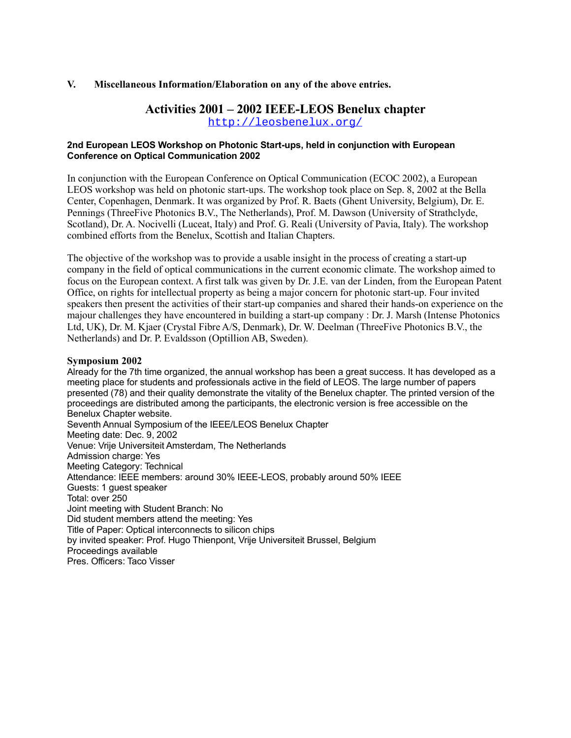## **V. Miscellaneous Information/Elaboration on any of the above entries.**

# **Activities 2001 – 2002 IEEE-LEOS Benelux chapter**

<http://leosbenelux.org/>

## **2nd European LEOS Workshop on Photonic Start-ups, held in conjunction with European Conference on Optical Communication 2002**

In conjunction with the European Conference on Optical Communication (ECOC 2002), a European LEOS workshop was held on photonic start-ups. The workshop took place on Sep. 8, 2002 at the Bella Center, Copenhagen, Denmark. It was organized by Prof. R. Baets (Ghent University, Belgium), Dr. E. Pennings (ThreeFive Photonics B.V., The Netherlands), Prof. M. Dawson (University of Strathclyde, Scotland), Dr. A. Nocivelli (Luceat, Italy) and Prof. G. Reali (University of Pavia, Italy). The workshop combined efforts from the Benelux, Scottish and Italian Chapters.

The objective of the workshop was to provide a usable insight in the process of creating a start-up company in the field of optical communications in the current economic climate. The workshop aimed to focus on the European context. A first talk was given by Dr. J.E. van der Linden, from the European Patent Office, on rights for intellectual property as being a major concern for photonic start-up. Four invited speakers then present the activities of their start-up companies and shared their hands-on experience on the majour challenges they have encountered in building a start-up company : Dr. J. Marsh (Intense Photonics Ltd, UK), Dr. M. Kjaer (Crystal Fibre A/S, Denmark), Dr. W. Deelman (ThreeFive Photonics B.V., the Netherlands) and Dr. P. Evaldsson (Optillion AB, Sweden).

## **Symposium 2002**

Already for the 7th time organized, the annual workshop has been a great success. It has developed as a meeting place for students and professionals active in the field of LEOS. The large number of papers presented (78) and their quality demonstrate the vitality of the Benelux chapter. The printed version of the proceedings are distributed among the participants, the electronic version is free accessible on the Benelux Chapter website. Seventh Annual Symposium of the IEEE/LEOS Benelux Chapter Meeting date: Dec. 9, 2002 Venue: Vrije Universiteit Amsterdam, The Netherlands Admission charge: Yes Meeting Category: Technical Attendance: IEEE members: around 30% IEEE-LEOS, probably around 50% IEEE Guests: 1 guest speaker Total: over 250 Joint meeting with Student Branch: No Did student members attend the meeting: Yes Title of Paper: Optical interconnects to silicon chips by invited speaker: Prof. Hugo Thienpont, Vrije Universiteit Brussel, Belgium Proceedings available Pres. Officers: Taco Visser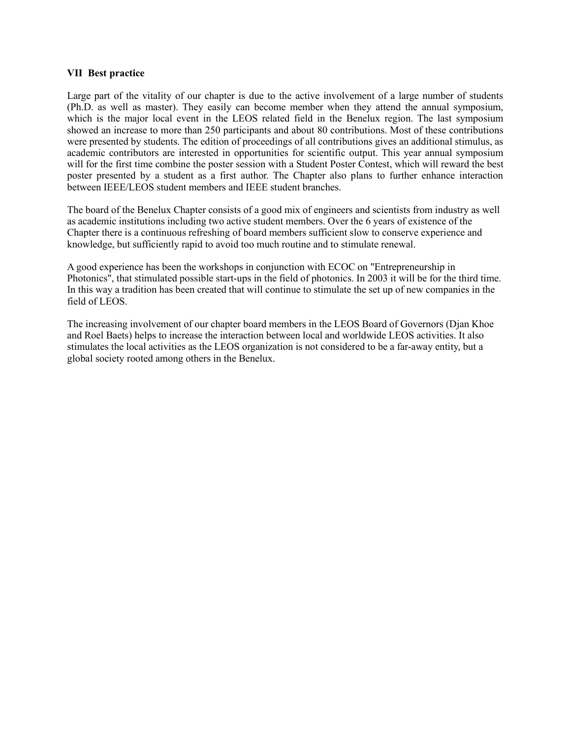## **VII Best practice**

Large part of the vitality of our chapter is due to the active involvement of a large number of students (Ph.D. as well as master). They easily can become member when they attend the annual symposium, which is the major local event in the LEOS related field in the Benelux region. The last symposium showed an increase to more than 250 participants and about 80 contributions. Most of these contributions were presented by students. The edition of proceedings of all contributions gives an additional stimulus, as academic contributors are interested in opportunities for scientific output. This year annual symposium will for the first time combine the poster session with a Student Poster Contest, which will reward the best poster presented by a student as a first author. The Chapter also plans to further enhance interaction between IEEE/LEOS student members and IEEE student branches.

The board of the Benelux Chapter consists of a good mix of engineers and scientists from industry as well as academic institutions including two active student members. Over the 6 years of existence of the Chapter there is a continuous refreshing of board members sufficient slow to conserve experience and knowledge, but sufficiently rapid to avoid too much routine and to stimulate renewal.

A good experience has been the workshops in conjunction with ECOC on "Entrepreneurship in Photonics", that stimulated possible start-ups in the field of photonics. In 2003 it will be for the third time. In this way a tradition has been created that will continue to stimulate the set up of new companies in the field of LEOS.

The increasing involvement of our chapter board members in the LEOS Board of Governors (Djan Khoe and Roel Baets) helps to increase the interaction between local and worldwide LEOS activities. It also stimulates the local activities as the LEOS organization is not considered to be a far-away entity, but a global society rooted among others in the Benelux.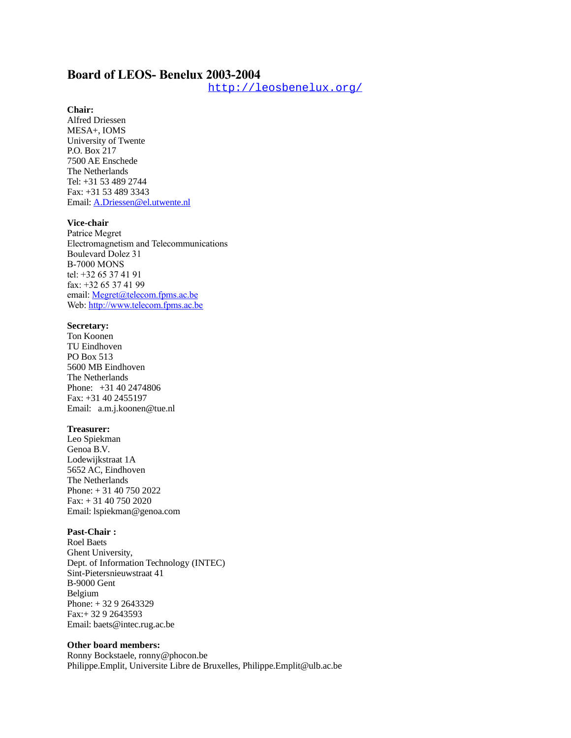# **Board of LEOS- Benelux 2003-2004**

<http://leosbenelux.org/>

## **Chair:**

Alfred Driessen MESA+, IOMS University of Twente P.O. Box 217 7500 AE Enschede The Netherlands Tel: +31 53 489 2744 Fax: +31 53 489 3343 Email: [A.Driessen@el.utwente.nl](mailto:A.Driessen@tn.utwente.nl)

### **Vice-chair**

Patrice Megret Electromagnetism and Telecommunications Boulevard Dolez 31 B-7000 MONS tel: +32 65 37 41 91 fax: +32 65 37 41 99 email: [Megret@telecom.fpms.ac.be](mailto:Megret@telecom.fpms.ac.be) Web: [http://www.telecom.fpms.ac.be](http://www.telecom.fpms.ac.be/)

#### **Secretary:**

Ton Koonen TU Eindhoven PO Box 513 5600 MB Eindhoven The Netherlands Phone: +31 40 2474806 Fax: +31 40 2455197 Email: a.m.j.koonen@tue.nl

#### **Treasurer:**

Leo Spiekman Genoa B.V. Lodewijkstraat 1A 5652 AC, Eindhoven The Netherlands Phone: + 31 40 750 2022 Fax: + 31 40 750 2020 Email: lspiekman@genoa.com

#### **Past-Chair :**

Roel Baets Ghent University, Dept. of Information Technology (INTEC) Sint-Pietersnieuwstraat 41 B-9000 Gent Belgium Phone: + 32 9 2643329 Fax:+ 32 9 2643593 Email: baets@intec.rug.ac.be

#### **Other board members:**

Ronny Bockstaele, ronny@phocon.be Philippe.Emplit, Universite Libre de Bruxelles, Philippe.Emplit@ulb.ac.be